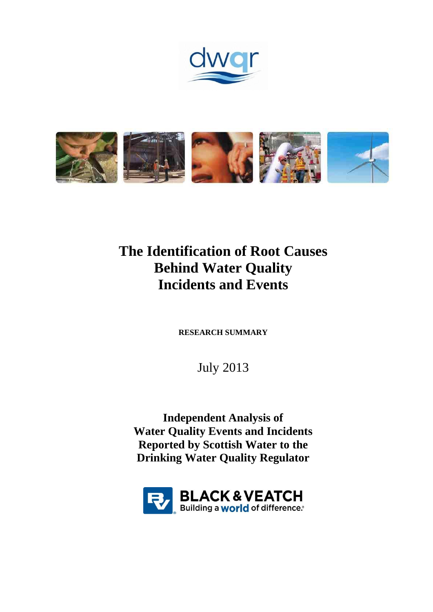



# **The Identification of Root Causes Behind Water Quality Incidents and Events**

**RESEARCH SUMMARY**

July 2013

**Independent Analysis of Water Quality Events and Incidents Reported by Scottish Water to the Drinking Water Quality Regulator**

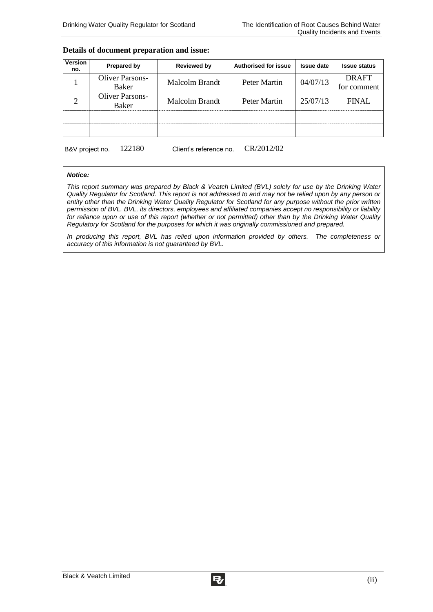#### **Details of document preparation and issue:**

| Version<br>no. | <b>Prepared by</b>              | <b>Reviewed by</b> | <b>Authorised for issue</b> | <b>Issue date</b> | <b>Issue status</b>         |
|----------------|---------------------------------|--------------------|-----------------------------|-------------------|-----------------------------|
|                | <b>Oliver Parsons-</b><br>Baker | Malcolm Brandt     | Peter Martin                | 04/07/13          | <b>DRAFT</b><br>for comment |
| 2              | <b>Oliver Parsons-</b><br>Baker | Malcolm Brandt     | Peter Martin                | 25/07/13          | <b>FINAL</b>                |
|                |                                 |                    |                             |                   |                             |
|                |                                 |                    |                             |                   |                             |

B&V project no. 122180 Client's reference no. CR/2012/02

#### *Notice:*

*This report summary was prepared by Black & Veatch Limited (BVL) solely for use by the Drinking Water Quality Regulator for Scotland. This report is not addressed to and may not be relied upon by any person or entity other than the Drinking Water Quality Regulator for Scotland for any purpose without the prior written permission of BVL. BVL, its directors, employees and affiliated companies accept no responsibility or liability for reliance upon or use of this report (whether or not permitted) other than by the Drinking Water Quality Regulatory for Scotland for the purposes for which it was originally commissioned and prepared.*

*In producing this report, BVL has relied upon information provided by others. The completeness or accuracy of this information is not guaranteed by BVL.*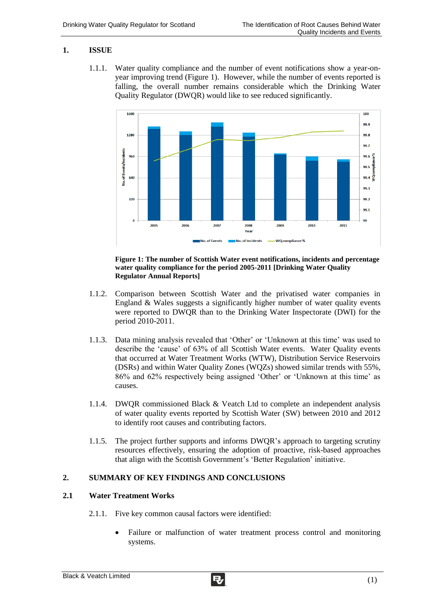# **1. ISSUE**

1.1.1. Water quality compliance and the number of event notifications show a year-onyear improving trend (Figure 1). However, while the number of events reported is falling, the overall number remains considerable which the Drinking Water Quality Regulator (DWQR) would like to see reduced significantly.



#### **Figure 1: The number of Scottish Water event notifications, incidents and percentage water quality compliance for the period 2005-2011 [Drinking Water Quality Regulator Annual Reports]**

- 1.1.2. Comparison between Scottish Water and the privatised water companies in England & Wales suggests a significantly higher number of water quality events were reported to DWQR than to the Drinking Water Inspectorate (DWI) for the period 2010-2011.
- 1.1.3. Data mining analysis revealed that 'Other' or 'Unknown at this time' was used to describe the 'cause' of 63% of all Scottish Water events. Water Quality events that occurred at Water Treatment Works (WTW), Distribution Service Reservoirs (DSRs) and within Water Quality Zones (WQZs) showed similar trends with 55%, 86% and 62% respectively being assigned 'Other' or 'Unknown at this time' as causes.
- 1.1.4. DWQR commissioned Black & Veatch Ltd to complete an independent analysis of water quality events reported by Scottish Water (SW) between 2010 and 2012 to identify root causes and contributing factors.
- 1.1.5. The project further supports and informs DWQR's approach to targeting scrutiny resources effectively, ensuring the adoption of proactive, risk-based approaches that align with the Scottish Government's 'Better Regulation' initiative.

# **2. SUMMARY OF KEY FINDINGS AND CONCLUSIONS**

## **2.1 Water Treatment Works**

- 2.1.1. Five key common causal factors were identified:
	- Failure or malfunction of water treatment process control and monitoring systems.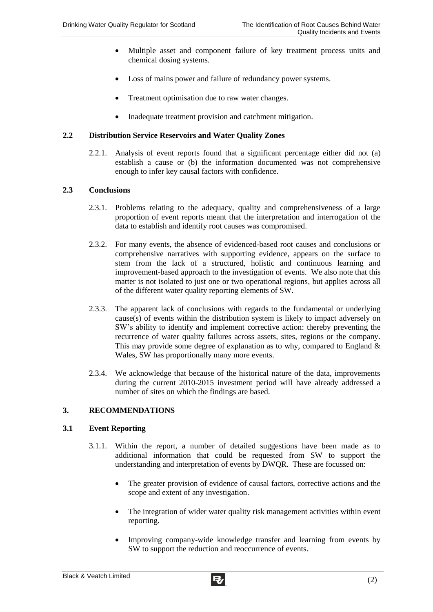- Multiple asset and component failure of key treatment process units and chemical dosing systems.
- Loss of mains power and failure of redundancy power systems.
- Treatment optimisation due to raw water changes.
- Inadequate treatment provision and catchment mitigation.

## **2.2 Distribution Service Reservoirs and Water Quality Zones**

2.2.1. Analysis of event reports found that a significant percentage either did not (a) establish a cause or (b) the information documented was not comprehensive enough to infer key causal factors with confidence.

#### **2.3 Conclusions**

- 2.3.1. Problems relating to the adequacy, quality and comprehensiveness of a large proportion of event reports meant that the interpretation and interrogation of the data to establish and identify root causes was compromised.
- 2.3.2. For many events, the absence of evidenced-based root causes and conclusions or comprehensive narratives with supporting evidence, appears on the surface to stem from the lack of a structured, holistic and continuous learning and improvement-based approach to the investigation of events. We also note that this matter is not isolated to just one or two operational regions, but applies across all of the different water quality reporting elements of SW.
- 2.3.3. The apparent lack of conclusions with regards to the fundamental or underlying cause(s) of events within the distribution system is likely to impact adversely on SW's ability to identify and implement corrective action: thereby preventing the recurrence of water quality failures across assets, sites, regions or the company. This may provide some degree of explanation as to why, compared to England  $\&$ Wales, SW has proportionally many more events.
- 2.3.4. We acknowledge that because of the historical nature of the data, improvements during the current 2010-2015 investment period will have already addressed a number of sites on which the findings are based.

## **3. RECOMMENDATIONS**

## **3.1 Event Reporting**

- 3.1.1. Within the report, a number of detailed suggestions have been made as to additional information that could be requested from SW to support the understanding and interpretation of events by DWQR. These are focussed on:
	- The greater provision of evidence of causal factors, corrective actions and the scope and extent of any investigation.
	- The integration of wider water quality risk management activities within event reporting.
	- Improving company-wide knowledge transfer and learning from events by SW to support the reduction and reoccurrence of events.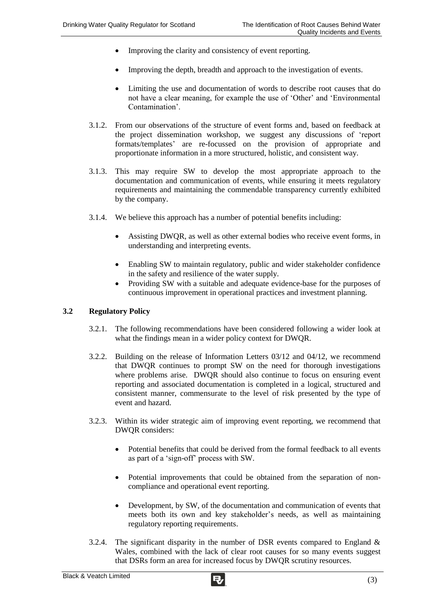- Improving the clarity and consistency of event reporting.
- Improving the depth, breadth and approach to the investigation of events.
- Limiting the use and documentation of words to describe root causes that do not have a clear meaning, for example the use of 'Other' and 'Environmental Contamination'.
- 3.1.2. From our observations of the structure of event forms and, based on feedback at the project dissemination workshop, we suggest any discussions of 'report formats/templates' are re-focussed on the provision of appropriate and proportionate information in a more structured, holistic, and consistent way.
- 3.1.3. This may require SW to develop the most appropriate approach to the documentation and communication of events, while ensuring it meets regulatory requirements and maintaining the commendable transparency currently exhibited by the company.
- 3.1.4. We believe this approach has a number of potential benefits including:
	- Assisting DWQR, as well as other external bodies who receive event forms, in understanding and interpreting events.
	- Enabling SW to maintain regulatory, public and wider stakeholder confidence in the safety and resilience of the water supply.
	- Providing SW with a suitable and adequate evidence-base for the purposes of continuous improvement in operational practices and investment planning.

# **3.2 Regulatory Policy**

- 3.2.1. The following recommendations have been considered following a wider look at what the findings mean in a wider policy context for DWQR.
- 3.2.2. Building on the release of Information Letters 03/12 and 04/12, we recommend that DWQR continues to prompt SW on the need for thorough investigations where problems arise. DWQR should also continue to focus on ensuring event reporting and associated documentation is completed in a logical, structured and consistent manner, commensurate to the level of risk presented by the type of event and hazard.
- 3.2.3. Within its wider strategic aim of improving event reporting, we recommend that DWQR considers:
	- Potential benefits that could be derived from the formal feedback to all events as part of a 'sign-off' process with SW.
	- Potential improvements that could be obtained from the separation of noncompliance and operational event reporting.
	- Development, by SW, of the documentation and communication of events that meets both its own and key stakeholder's needs, as well as maintaining regulatory reporting requirements.
- 3.2.4. The significant disparity in the number of DSR events compared to England  $\&$ Wales, combined with the lack of clear root causes for so many events suggest that DSRs form an area for increased focus by DWQR scrutiny resources.